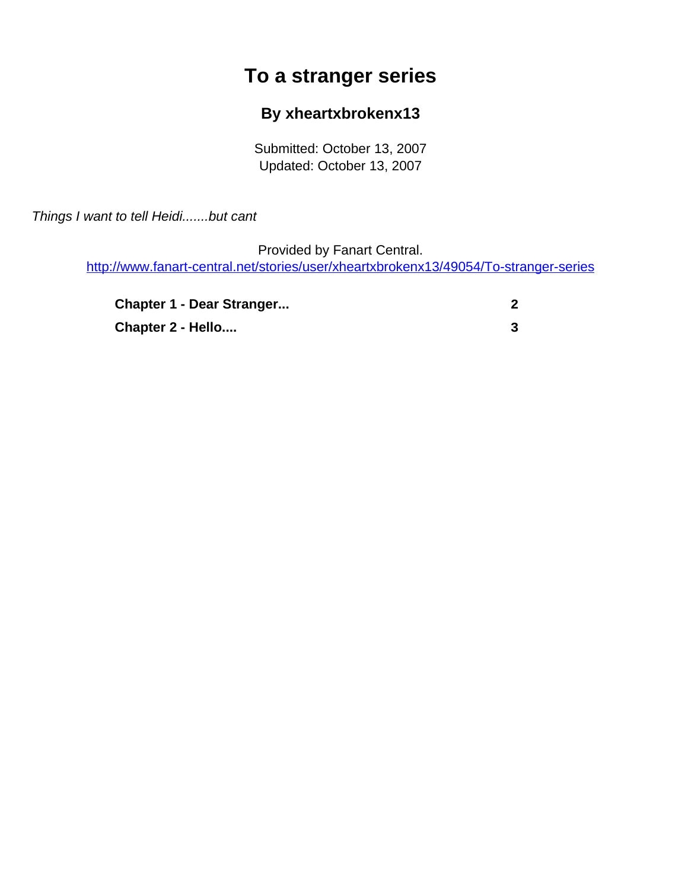## **To a stranger series**

## **By xheartxbrokenx13**

Submitted: October 13, 2007 Updated: October 13, 2007

<span id="page-0-0"></span>Things I want to tell Heidi.......but cant

Provided by Fanart Central. [http://www.fanart-central.net/stories/user/xheartxbrokenx13/49054/To-stranger-series](#page-0-0)

| <b>Chapter 1 - Dear Stranger</b> |  |
|----------------------------------|--|
| Chapter 2 - Hello                |  |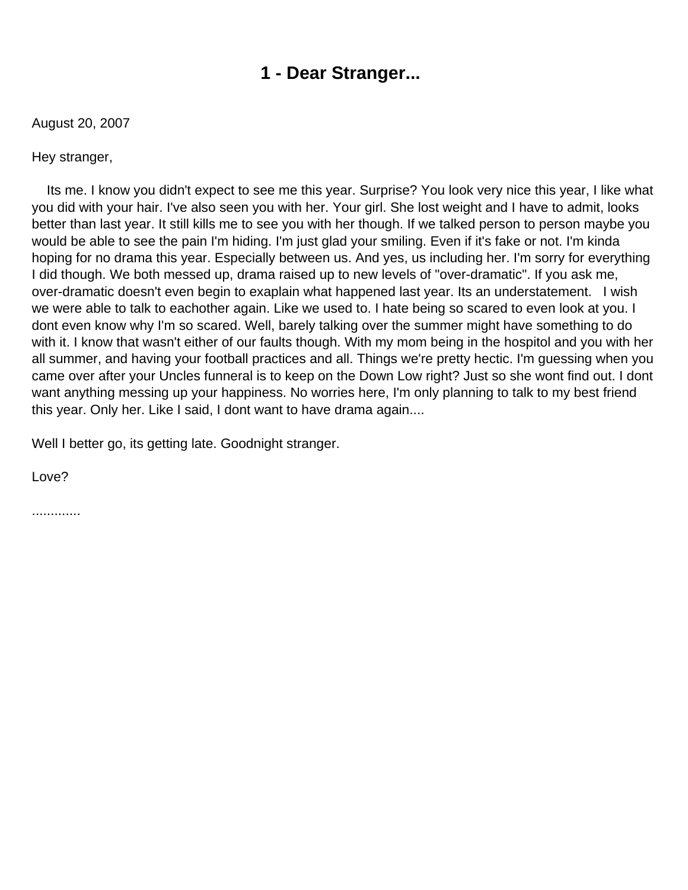## **1 - Dear Stranger...**

<span id="page-1-0"></span>August 20, 2007

Hey stranger,

 Its me. I know you didn't expect to see me this year. Surprise? You look very nice this year, I like what you did with your hair. I've also seen you with her. Your girl. She lost weight and I have to admit, looks better than last year. It still kills me to see you with her though. If we talked person to person maybe you would be able to see the pain I'm hiding. I'm just glad your smiling. Even if it's fake or not. I'm kinda hoping for no drama this year. Especially between us. And yes, us including her. I'm sorry for everything I did though. We both messed up, drama raised up to new levels of "over-dramatic". If you ask me, over-dramatic doesn't even begin to exaplain what happened last year. Its an understatement. I wish we were able to talk to eachother again. Like we used to. I hate being so scared to even look at you. I dont even know why I'm so scared. Well, barely talking over the summer might have something to do with it. I know that wasn't either of our faults though. With my mom being in the hospitol and you with her all summer, and having your football practices and all. Things we're pretty hectic. I'm guessing when you came over after your Uncles funneral is to keep on the Down Low right? Just so she wont find out. I dont want anything messing up your happiness. No worries here, I'm only planning to talk to my best friend this year. Only her. Like I said, I dont want to have drama again....

Well I better go, its getting late. Goodnight stranger.

Love?

.............